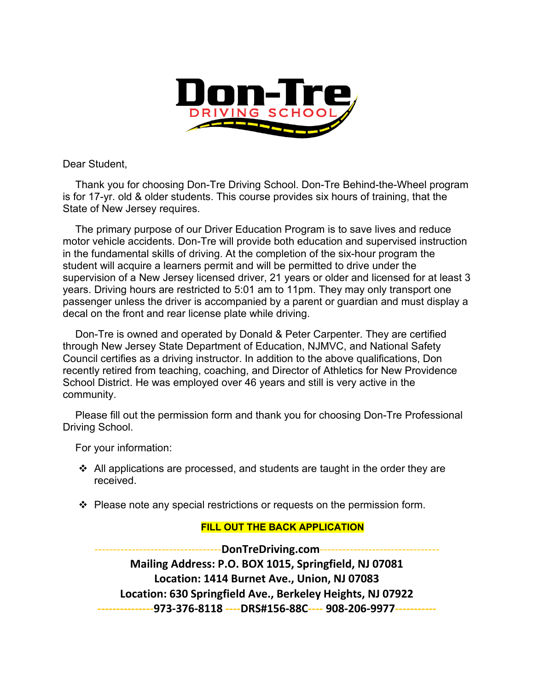

Dear Student,

Thank you for choosing Don-Tre Driving School. Don-Tre Behind-the-Wheel program is for 17-yr. old & older students. This course provides six hours of training, that the State of New Jersey requires.

The primary purpose of our Driver Education Program is to save lives and reduce motor vehicle accidents. Don-Tre will provide both education and supervised instruction in the fundamental skills of driving. At the completion of the six-hour program the student will acquire a learners permit and will be permitted to drive under the supervision of a New Jersey licensed driver, 21 years or older and licensed for at least 3 years. Driving hours are restricted to 5:01 am to 11pm. They may only transport one passenger unless the driver is accompanied by a parent or guardian and must display a decal on the front and rear license plate while driving.

Don-Tre is owned and operated by Donald & Peter Carpenter. They are certified through New Jersey State Department of Education, NJMVC, and National Safety Council certifies as a driving instructor. In addition to the above qualifications, Don recently retired from teaching, coaching, and Director of Athletics for New Providence School District. He was employed over 46 years and still is very active in the community.

Please fill out the permission form and thank you for choosing Don-Tre Professional Driving School.

For your information:

- $\cdot$  All applications are processed, and students are taught in the order they are received.
- $\div$  Please note any special restrictions or requests on the permission form.

## **FILL OUT THE BACK APPLICATION**

----------------------------------**DonTreDriving.com**-------------------------------- **Mailing Address: P.O. BOX 1015, Springfield, NJ 07081 Location: 1414 Burnet Ave., Union, NJ 07083 Location: 630 Springfield Ave., Berkeley Heights, NJ 07922 ---------------973-376-8118 ----DRS#156-88C---- 908-206-9977-----------**